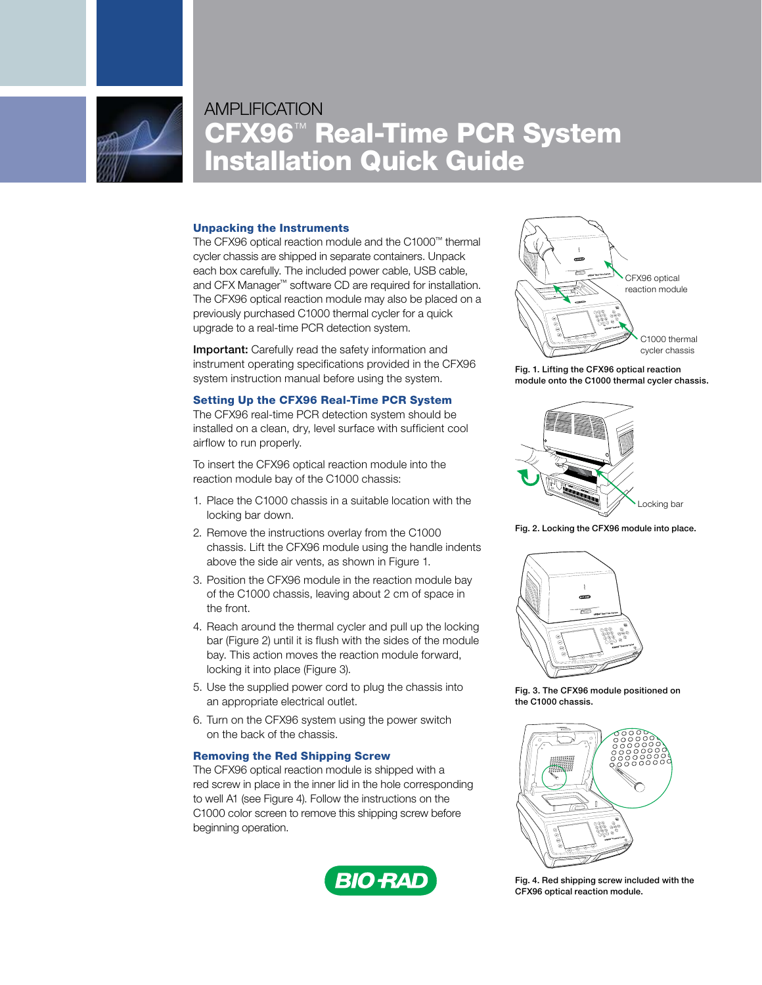

# **AMPLIFICATION** CFX96™ Real-Time PCR System Installation Quick Guide

#### Unpacking the Instruments

The CFX96 optical reaction module and the C1000™ thermal cycler chassis are shipped in separate containers. Unpack each box carefully. The included power cable, USB cable, and CFX Manager™ software CD are required for installation. The CFX96 optical reaction module may also be placed on a previously purchased C1000 thermal cycler for a quick upgrade to a real-time PCR detection system.

Important: Carefully read the safety information and instrument operating specifications provided in the CFX96 system instruction manual before using the system.

#### Setting Up the CFX96 Real-Time PCR System

The CFX96 real-time PCR detection system should be installed on a clean, dry, level surface with sufficient cool airflow to run properly.

To insert the CFX96 optical reaction module into the reaction module bay of the C1000 chassis:

- 1. Place the C1000 chassis in a suitable location with the locking bar down.
- 2. Remove the instructions overlay from the C1000 chassis. Lift the CFX96 module using the handle indents above the side air vents, as shown in Figure 1.
- 3. Position the CFX96 module in the reaction module bay of the C1000 chassis, leaving about 2 cm of space in the front.
- 4. Reach around the thermal cycler and pull up the locking bar (Figure 2) until it is flush with the sides of the module bay. This action moves the reaction module forward, locking it into place (Figure 3).
- 5. Use the supplied power cord to plug the chassis into an appropriate electrical outlet.
- 6. Turn on the CFX96 system using the power switch on the back of the chassis.

### Removing the Red Shipping Screw

The CFX96 optical reaction module is shipped with a red screw in place in the inner lid in the hole corresponding to well A1 (see Figure 4). Follow the instructions on the C1000 color screen to remove this shipping screw before beginning operation.





Fig. 1. Lifting the CFX96 optical reaction module onto the C1000 thermal cycler chassis.



Fig. 2. Locking the CFX96 module into place.



Fig. 3. The CFX96 module positioned on the C1000 chassis.



Fig. 4. Red shipping screw included with the CFX96 optical reaction module.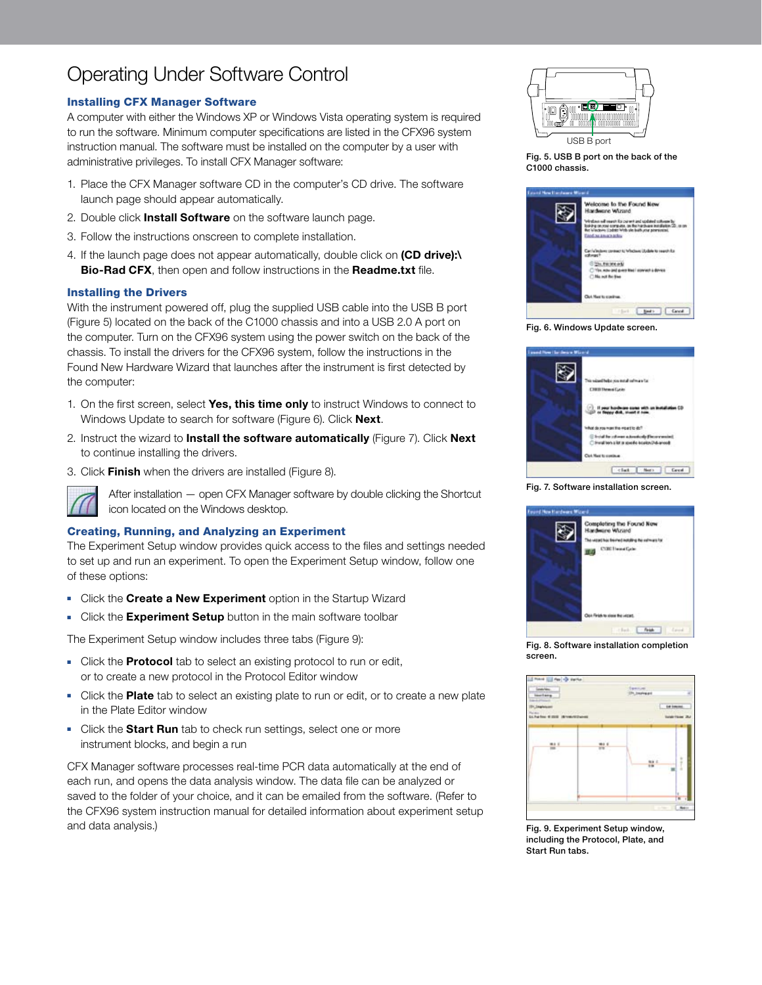# Operating Under Software Control

## Installing CFX Manager Software

A computer with either the Windows XP or Windows Vista operating system is required to run the software. Minimum computer specifications are listed in the CFX96 system instruction manual. The software must be installed on the computer by a user with administrative privileges. To install CFX Manager software:

- 1. Place the CFX Manager software CD in the computer's CD drive. The software launch page should appear automatically.
- 2. Double click Install Software on the software launch page.
- 3. Follow the instructions onscreen to complete installation.
- 4. If the launch page does not appear automatically, double click on (CD drive):\ Bio-Rad CFX, then open and follow instructions in the Readme.txt file.

### Installing the Drivers

With the instrument powered off, plug the supplied USB cable into the USB B port (Figure 5) located on the back of the C1000 chassis and into a USB 2.0 A port on the computer. Turn on the CFX96 system using the power switch on the back of the chassis. To install the drivers for the CFX96 system, follow the instructions in the Found New Hardware Wizard that launches after the instrument is first detected by the computer:

- 1. On the first screen, select Yes, this time only to instruct Windows to connect to Windows Update to search for software (Figure 6). Click **Next**.
- 2. Instruct the wizard to Install the software automatically (Figure 7). Click Next to continue installing the drivers.
- 3. Click Finish when the drivers are installed (Figure 8).



After installation — open CFX Manager software by double clicking the Shortcut icon located on the Windows desktop.

### Creating, Running, and Analyzing an Experiment

The Experiment Setup window provides quick access to the files and settings needed to set up and run an experiment. To open the Experiment Setup window, follow one of these options:

- Click the Create a New Experiment option in the Startup Wizard
- Click the Experiment Setup button in the main software toolbar

The Experiment Setup window includes three tabs (Figure 9):

- Click the **Protocol** tab to select an existing protocol to run or edit, or to create a new protocol in the Protocol Editor window
- Click the Plate tab to select an existing plate to run or edit, or to create a new plate in the Plate Editor window
- Click the **Start Run** tab to check run settings, select one or more instrument blocks, and begin a run

CFX Manager software processes real-time PCR data automatically at the end of each run, and opens the data analysis window. The data file can be analyzed or saved to the folder of your choice, and it can be emailed from the software. (Refer to the CFX96 system instruction manual for detailed information about experiment setup and data analysis.)



Fig. 5. USB B port on the back of the C1000 chassis.



Fig. 6. Windows Update screen.



Fig. 7. Software installation screen.



Fig. 8. Software installation completion screen.



Fig. 9. Experiment Setup window, including the Protocol, Plate, and Start Run tabs.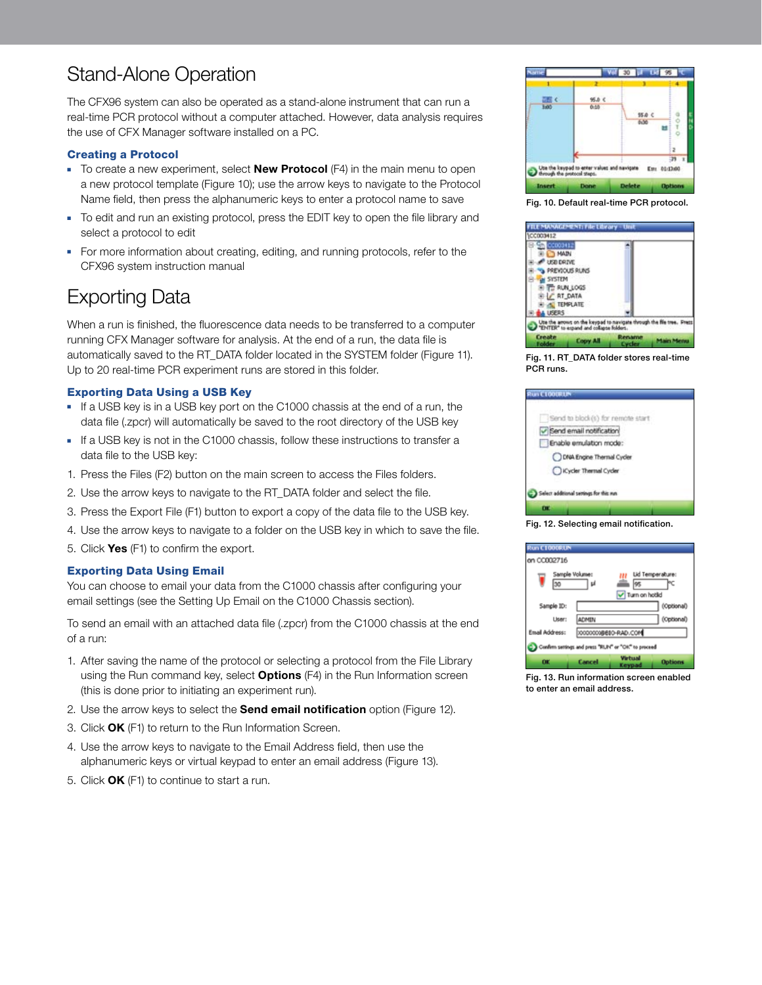# Stand-Alone Operation

The CFX96 system can also be operated as a stand-alone instrument that can run a real-time PCR protocol without a computer attached. However, data analysis requires the use of CFX Manager software installed on a PC.

### Creating a Protocol

- $\blacksquare$  To create a new experiment, select **New Protocol** (F4) in the main menu to open a new protocol template (Figure 10); use the arrow keys to navigate to the Protocol Name field, then press the alphanumeric keys to enter a protocol name to save
- To edit and run an existing protocol, press the EDIT key to open the file library and select a protocol to edit
- For more information about creating, editing, and running protocols, refer to the CFX96 system instruction manual

## Exporting Data

When a run is finished, the fluorescence data needs to be transferred to a computer running CFX Manager software for analysis. At the end of a run, the data file is automatically saved to the RT\_DATA folder located in the SYSTEM folder (Figure 11). Up to 20 real-time PCR experiment runs are stored in this folder.

### Exporting Data Using a USB Key

- If a USB key is in a USB key port on the C1000 chassis at the end of a run, the data file (.zpcr) will automatically be saved to the root directory of the USB key
- **F** If a USB key is not in the C1000 chassis, follow these instructions to transfer a data file to the USB key:
- 1. Press the Files (F2) button on the main screen to access the Files folders.
- 2. Use the arrow keys to navigate to the RT\_DATA folder and select the file.
- 3. Press the Export File (F1) button to export a copy of the data file to the USB key.
- 4. Use the arrow keys to navigate to a folder on the USB key in which to save the file.
- 5. Click Yes (F1) to confirm the export.

### Exporting Data Using Email

You can choose to email your data from the C1000 chassis after configuring your email settings (see the Setting Up Email on the C1000 Chassis section).

To send an email with an attached data file (.zpcr) from the C1000 chassis at the end of a run:

- 1. After saving the name of the protocol or selecting a protocol from the File Library using the Run command key, select **Options** (F4) in the Run Information screen (this is done prior to initiating an experiment run).
- 2. Use the arrow keys to select the **Send email notification** option (Figure 12).
- 3. Click OK (F1) to return to the Run Information Screen.
- 4. Use the arrow keys to navigate to the Email Address field, then use the alphanumeric keys or virtual keypad to enter an email address (Figure 13).
- 5. Click **OK** (F1) to continue to start a run.







Fig. 11. RT\_DATA folder stores real-time PCR runs.

| Send to block (s) for remote start |  |
|------------------------------------|--|
|                                    |  |
| Send email notification            |  |
| Enable emulation mode:             |  |
| DINA Engine Thermal Cycler         |  |
| Cycler Thermal Cycler              |  |





Fig. 13. Run information screen enabled to enter an email address.